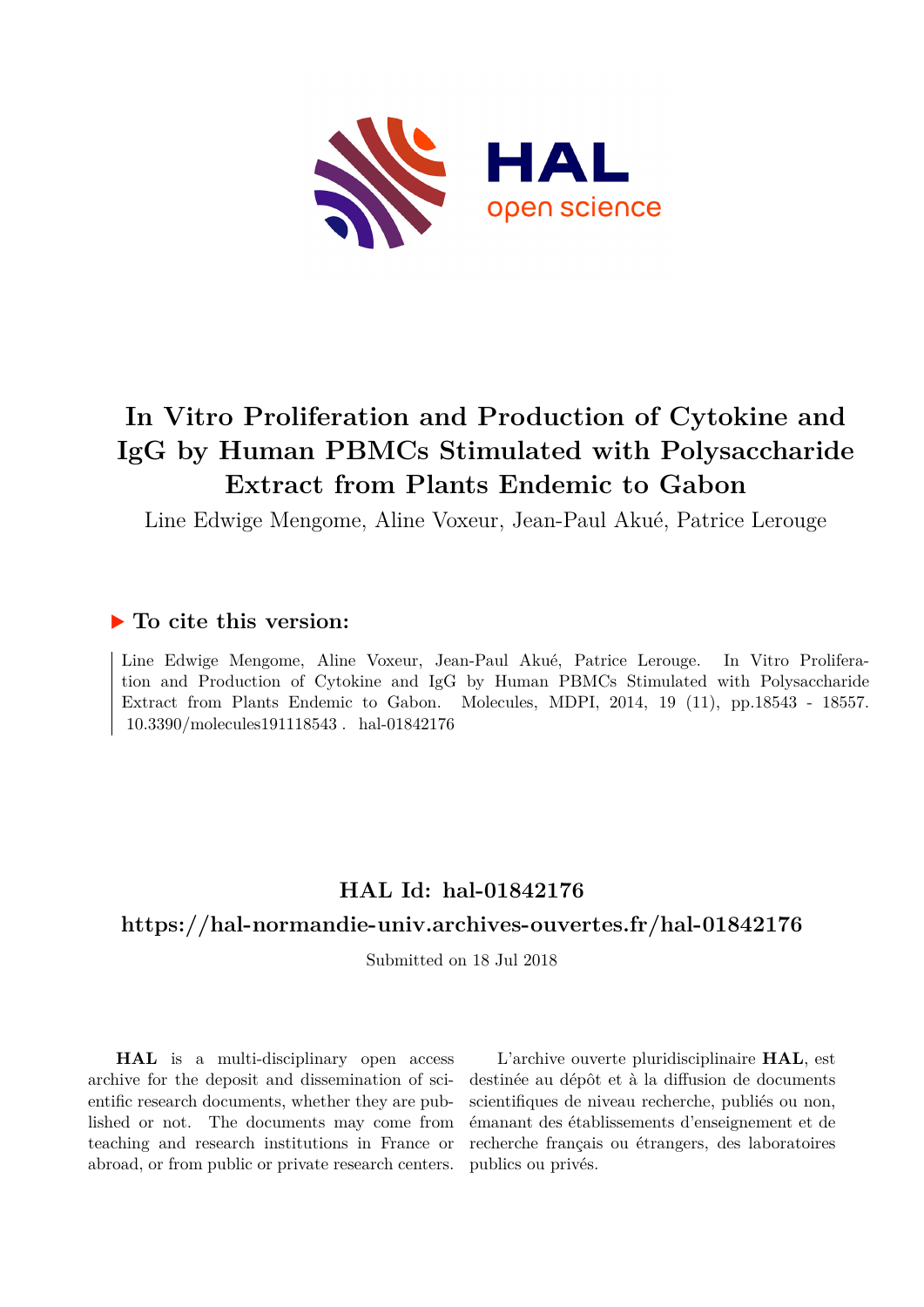

# **In Vitro Proliferation and Production of Cytokine and IgG by Human PBMCs Stimulated with Polysaccharide Extract from Plants Endemic to Gabon**

Line Edwige Mengome, Aline Voxeur, Jean-Paul Akué, Patrice Lerouge

# **To cite this version:**

Line Edwige Mengome, Aline Voxeur, Jean-Paul Akué, Patrice Lerouge. In Vitro Proliferation and Production of Cytokine and IgG by Human PBMCs Stimulated with Polysaccharide Extract from Plants Endemic to Gabon. Molecules, MDPI, 2014, 19 (11), pp.18543 - 18557.  $10.3390/molecule191118543$ . hal-01842176

# **HAL Id: hal-01842176**

# **<https://hal-normandie-univ.archives-ouvertes.fr/hal-01842176>**

Submitted on 18 Jul 2018

**HAL** is a multi-disciplinary open access archive for the deposit and dissemination of scientific research documents, whether they are published or not. The documents may come from teaching and research institutions in France or abroad, or from public or private research centers.

L'archive ouverte pluridisciplinaire **HAL**, est destinée au dépôt et à la diffusion de documents scientifiques de niveau recherche, publiés ou non, émanant des établissements d'enseignement et de recherche français ou étrangers, des laboratoires publics ou privés.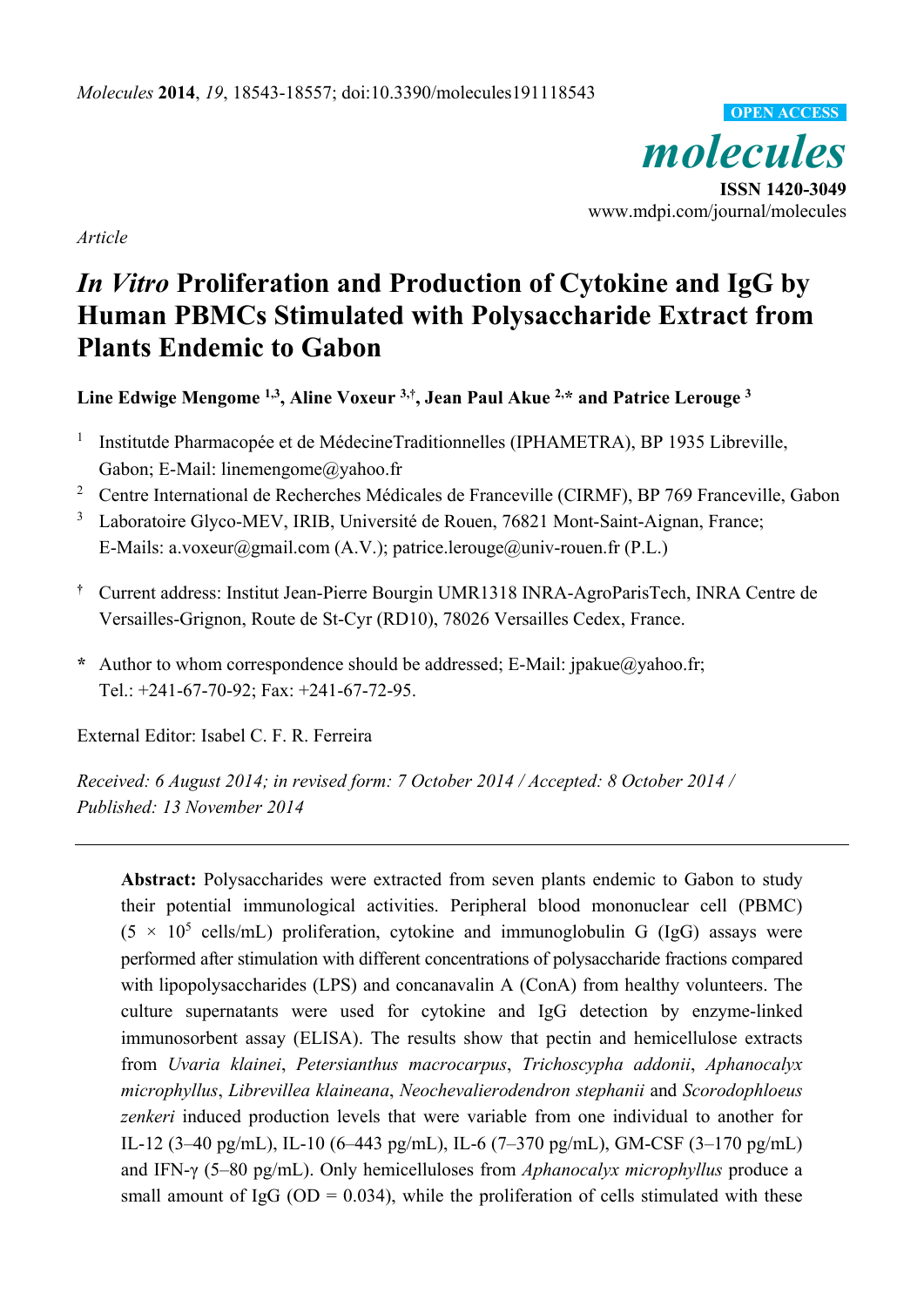*molecules*  **ISSN 1420-3049**  www.mdpi.com/journal/molecules **OPEN ACCESS**

*Article* 

# *In Vitro* **Proliferation and Production of Cytokine and IgG by Human PBMCs Stimulated with Polysaccharide Extract from Plants Endemic to Gabon**

**Line Edwige Mengome 1,3, Aline Voxeur 3,†, Jean Paul Akue 2,\* and Patrice Lerouge 3** 

- <sup>1</sup> Institutde Pharmacopée et de MédecineTraditionnelles (IPHAMETRA), BP 1935 Libreville, Gabon; E-Mail: linemengome@yahoo.fr
- <sup>2</sup> Centre International de Recherches Médicales de Franceville (CIRMF), BP 769 Franceville, Gabon
- <sup>3</sup> Laboratoire Glyco-MEV, IRIB, Université de Rouen, 76821 Mont-Saint-Aignan, France; E-Mails: a.voxeur@gmail.com (A.V.); patrice.lerouge@univ-rouen.fr (P.L.)
- **†** Current address: Institut Jean-Pierre Bourgin UMR1318 INRA-AgroParisTech, INRA Centre de Versailles-Grignon, Route de St-Cyr (RD10), 78026 Versailles Cedex, France.
- **\*** Author to whom correspondence should be addressed; E-Mail: jpakue@yahoo.fr; Tel.: +241-67-70-92; Fax: +241-67-72-95.

External Editor: Isabel C. F. R. Ferreira

*Received: 6 August 2014; in revised form: 7 October 2014 / Accepted: 8 October 2014 / Published: 13 November 2014* 

**Abstract:** Polysaccharides were extracted from seven plants endemic to Gabon to study their potential immunological activities. Peripheral blood mononuclear cell (PBMC)  $(5 \times 10^5 \text{ cells/mL})$  proliferation, cytokine and immunoglobulin G (IgG) assays were performed after stimulation with different concentrations of polysaccharide fractions compared with lipopolysaccharides (LPS) and concanavalin A (ConA) from healthy volunteers. The culture supernatants were used for cytokine and IgG detection by enzyme-linked immunosorbent assay (ELISA). The results show that pectin and hemicellulose extracts from *Uvaria klainei*, *Petersianthus macrocarpus*, *Trichoscypha addonii*, *Aphanocalyx microphyllus*, *Librevillea klaineana*, *Neochevalierodendron stephanii* and *Scorodophloeus zenkeri* induced production levels that were variable from one individual to another for IL-12 (3–40 pg/mL), IL-10 (6–443 pg/mL), IL-6 (7–370 pg/mL), GM-CSF (3–170 pg/mL) and IFN-γ (5–80 pg/mL). Only hemicelluloses from *Aphanocalyx microphyllus* produce a small amount of IgG ( $OD = 0.034$ ), while the proliferation of cells stimulated with these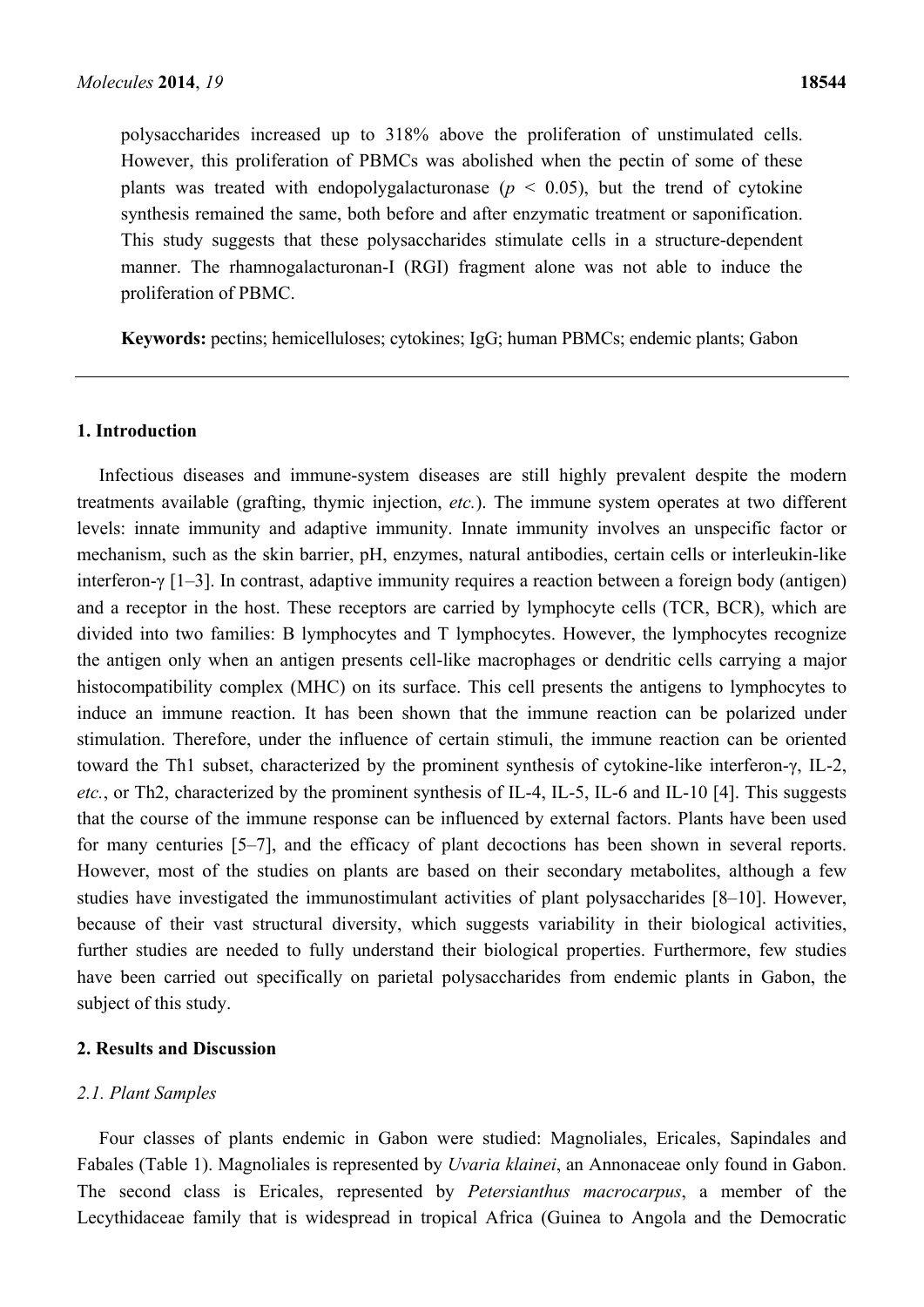polysaccharides increased up to 318% above the proliferation of unstimulated cells. However, this proliferation of PBMCs was abolished when the pectin of some of these plants was treated with endopolygalacturonase ( $p < 0.05$ ), but the trend of cytokine synthesis remained the same, both before and after enzymatic treatment or saponification. This study suggests that these polysaccharides stimulate cells in a structure-dependent manner. The rhamnogalacturonan-I (RGI) fragment alone was not able to induce the proliferation of PBMC.

**Keywords:** pectins; hemicelluloses; cytokines; IgG; human PBMCs; endemic plants; Gabon

#### **1. Introduction**

Infectious diseases and immune-system diseases are still highly prevalent despite the modern treatments available (grafting, thymic injection, *etc.*). The immune system operates at two different levels: innate immunity and adaptive immunity. Innate immunity involves an unspecific factor or mechanism, such as the skin barrier, pH, enzymes, natural antibodies, certain cells or interleukin-like interferon-γ [1–3]. In contrast, adaptive immunity requires a reaction between a foreign body (antigen) and a receptor in the host. These receptors are carried by lymphocyte cells (TCR, BCR), which are divided into two families: B lymphocytes and T lymphocytes. However, the lymphocytes recognize the antigen only when an antigen presents cell-like macrophages or dendritic cells carrying a major histocompatibility complex (MHC) on its surface. This cell presents the antigens to lymphocytes to induce an immune reaction. It has been shown that the immune reaction can be polarized under stimulation. Therefore, under the influence of certain stimuli, the immune reaction can be oriented toward the Th1 subset, characterized by the prominent synthesis of cytokine-like interferon-γ, IL-2, *etc.*, or Th2, characterized by the prominent synthesis of IL-4, IL-5, IL-6 and IL-10 [4]. This suggests that the course of the immune response can be influenced by external factors. Plants have been used for many centuries [5–7], and the efficacy of plant decoctions has been shown in several reports. However, most of the studies on plants are based on their secondary metabolites, although a few studies have investigated the immunostimulant activities of plant polysaccharides [8–10]. However, because of their vast structural diversity, which suggests variability in their biological activities, further studies are needed to fully understand their biological properties. Furthermore, few studies have been carried out specifically on parietal polysaccharides from endemic plants in Gabon, the subject of this study.

# **2. Results and Discussion**

#### *2.1. Plant Samples*

Four classes of plants endemic in Gabon were studied: Magnoliales, Ericales, Sapindales and Fabales (Table 1). Magnoliales is represented by *Uvaria klainei*, an Annonaceae only found in Gabon. The second class is Ericales, represented by *Petersianthus macrocarpus*, a member of the Lecythidaceae family that is widespread in tropical Africa (Guinea to Angola and the Democratic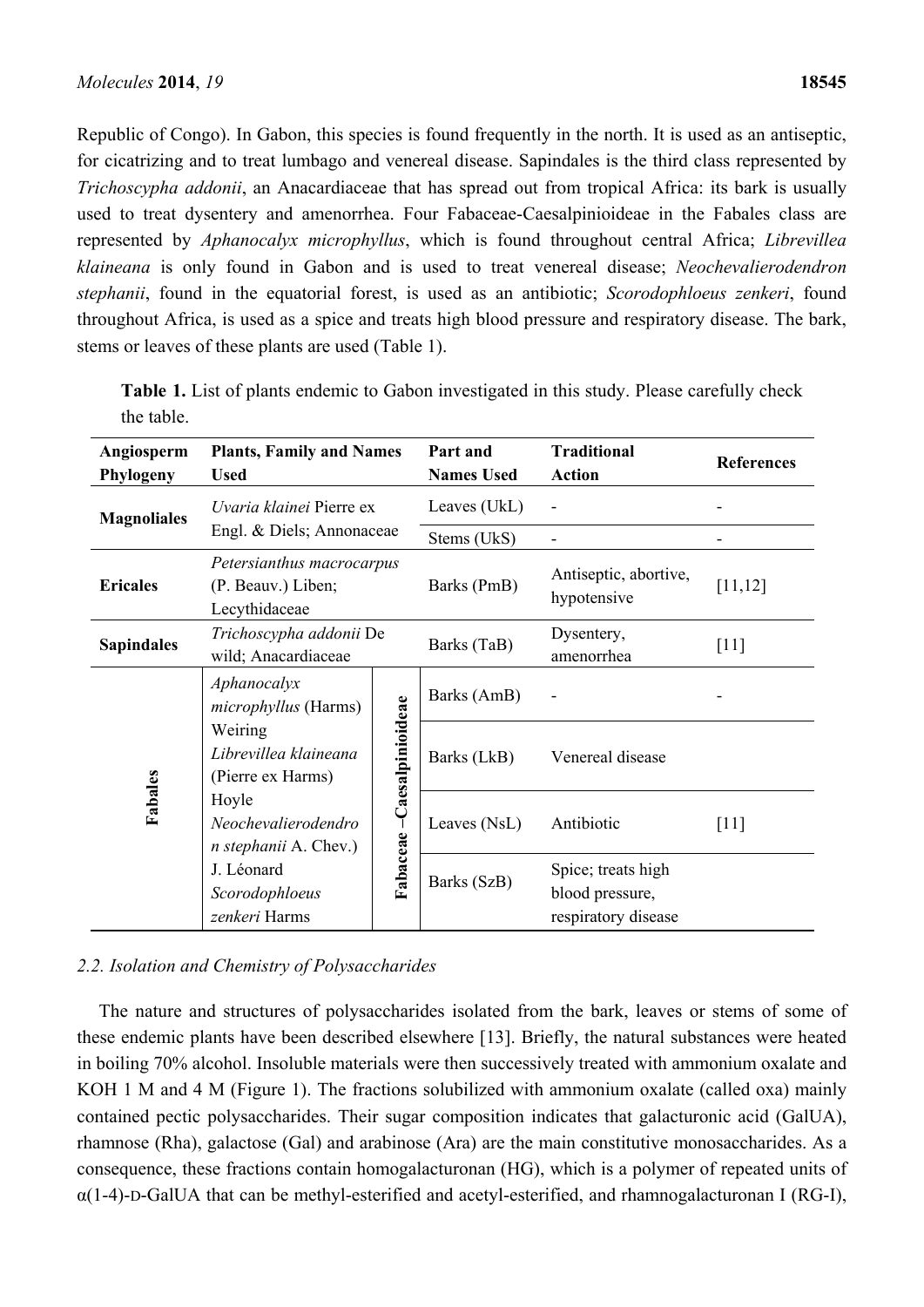Republic of Congo). In Gabon, this species is found frequently in the north. It is used as an antiseptic, for cicatrizing and to treat lumbago and venereal disease. Sapindales is the third class represented by *Trichoscypha addonii*, an Anacardiaceae that has spread out from tropical Africa: its bark is usually used to treat dysentery and amenorrhea. Four Fabaceae-Caesalpinioideae in the Fabales class are represented by *Aphanocalyx microphyllus*, which is found throughout central Africa; *Librevillea klaineana* is only found in Gabon and is used to treat venereal disease; *Neochevalierodendron stephanii*, found in the equatorial forest, is used as an antibiotic; *Scorodophloeus zenkeri*, found throughout Africa, is used as a spice and treats high blood pressure and respiratory disease. The bark, stems or leaves of these plants are used (Table 1).

| Angiosperm<br>Phylogeny | <b>Plants, Family and Names</b><br><b>Used</b>                   |                             | Part and<br><b>Names Used</b> | <b>Traditional</b><br><b>Action</b>                          | <b>References</b> |
|-------------------------|------------------------------------------------------------------|-----------------------------|-------------------------------|--------------------------------------------------------------|-------------------|
| <b>Magnoliales</b>      | Uvaria klainei Pierre ex<br>Engl. & Diels; Annonaceae            |                             | Leaves (UkL)                  |                                                              |                   |
|                         |                                                                  |                             | Stems (UkS)                   |                                                              |                   |
| <b>Ericales</b>         | Petersianthus macrocarpus<br>(P. Beauv.) Liben;<br>Lecythidaceae |                             | Barks (PmB)                   | Antiseptic, abortive,<br>hypotensive                         | [11, 12]          |
| <b>Sapindales</b>       | Trichoscypha addonii De<br>wild; Anacardiaceae                   |                             | Barks (TaB)                   | Dysentery,<br>amenorrhea                                     | [11]              |
| Fabales                 | Aphanocalyx<br><i>microphyllus</i> (Harms)                       | Fabaceae - Caesalpinioideae | Barks (AmB)                   |                                                              |                   |
|                         | Weiring<br>Librevillea klaineana<br>(Pierre ex Harms)            |                             | Barks (LkB)                   | Venereal disease                                             |                   |
|                         | Hoyle<br>Neochevalierodendro<br><i>n</i> stephanii A. Chev.)     |                             | Leaves (NsL)                  | Antibiotic                                                   | [11]              |
|                         | J. Léonard<br>Scorodophloeus<br>zenkeri Harms                    |                             | Barks (SzB)                   | Spice; treats high<br>blood pressure,<br>respiratory disease |                   |

**Table 1.** List of plants endemic to Gabon investigated in this study. Please carefully check the table.

# *2.2. Isolation and Chemistry of Polysaccharides*

The nature and structures of polysaccharides isolated from the bark, leaves or stems of some of these endemic plants have been described elsewhere [13]. Briefly, the natural substances were heated in boiling 70% alcohol. Insoluble materials were then successively treated with ammonium oxalate and KOH 1 M and 4 M (Figure 1). The fractions solubilized with ammonium oxalate (called oxa) mainly contained pectic polysaccharides. Their sugar composition indicates that galacturonic acid (GalUA), rhamnose (Rha), galactose (Gal) and arabinose (Ara) are the main constitutive monosaccharides. As a consequence, these fractions contain homogalacturonan (HG), which is a polymer of repeated units of  $\alpha(1-4)$ -D-GalUA that can be methyl-esterified and acetyl-esterified, and rhamnogalacturonan I (RG-I),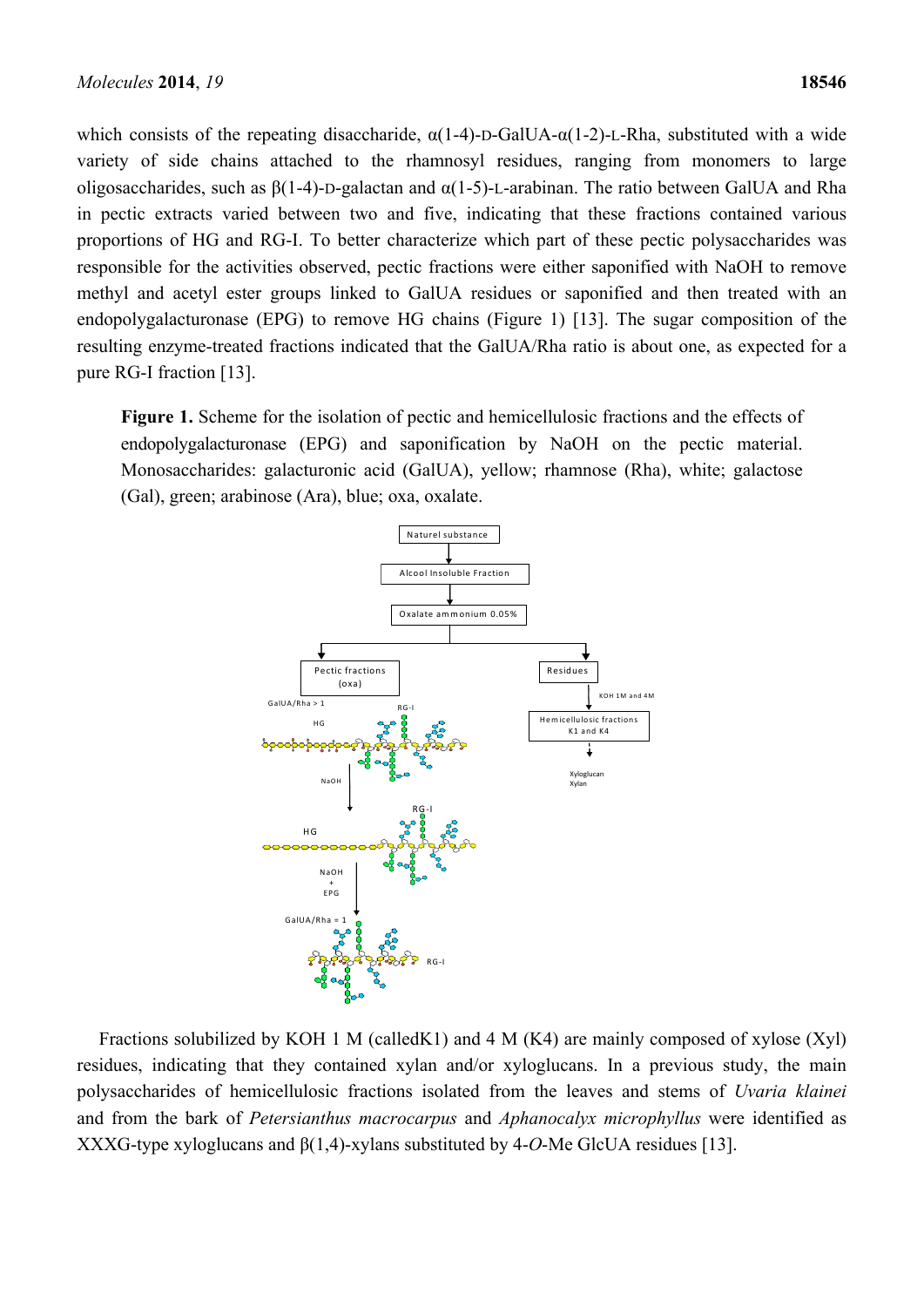which consists of the repeating disaccharide,  $\alpha(1-4)$ -D-GalUA- $\alpha(1-2)$ -L-Rha, substituted with a wide variety of side chains attached to the rhamnosyl residues, ranging from monomers to large oligosaccharides, such as  $β(1-4)$ -D-galactan and  $α(1-5)$ -L-arabinan. The ratio between GalUA and Rha in pectic extracts varied between two and five, indicating that these fractions contained various proportions of HG and RG-I. To better characterize which part of these pectic polysaccharides was responsible for the activities observed, pectic fractions were either saponified with NaOH to remove methyl and acetyl ester groups linked to GalUA residues or saponified and then treated with an endopolygalacturonase (EPG) to remove HG chains (Figure 1) [13]. The sugar composition of the resulting enzyme-treated fractions indicated that the GalUA/Rha ratio is about one, as expected for a pure RG-I fraction [13].

**Figure 1.** Scheme for the isolation of pectic and hemicellulosic fractions and the effects of endopolygalacturonase (EPG) and saponification by NaOH on the pectic material. Monosaccharides: galacturonic acid (GalUA), yellow; rhamnose (Rha), white; galactose (Gal), green; arabinose (Ara), blue; oxa, oxalate.



Fractions solubilized by KOH 1 M (calledK1) and 4 M (K4) are mainly composed of xylose (Xyl) residues, indicating that they contained xylan and/or xyloglucans. In a previous study, the main polysaccharides of hemicellulosic fractions isolated from the leaves and stems of *Uvaria klainei*  and from the bark of *Petersianthus macrocarpus* and *Aphanocalyx microphyllus* were identified as XXXG-type xyloglucans and β(1,4)-xylans substituted by 4-*O*-Me GlcUA residues [13].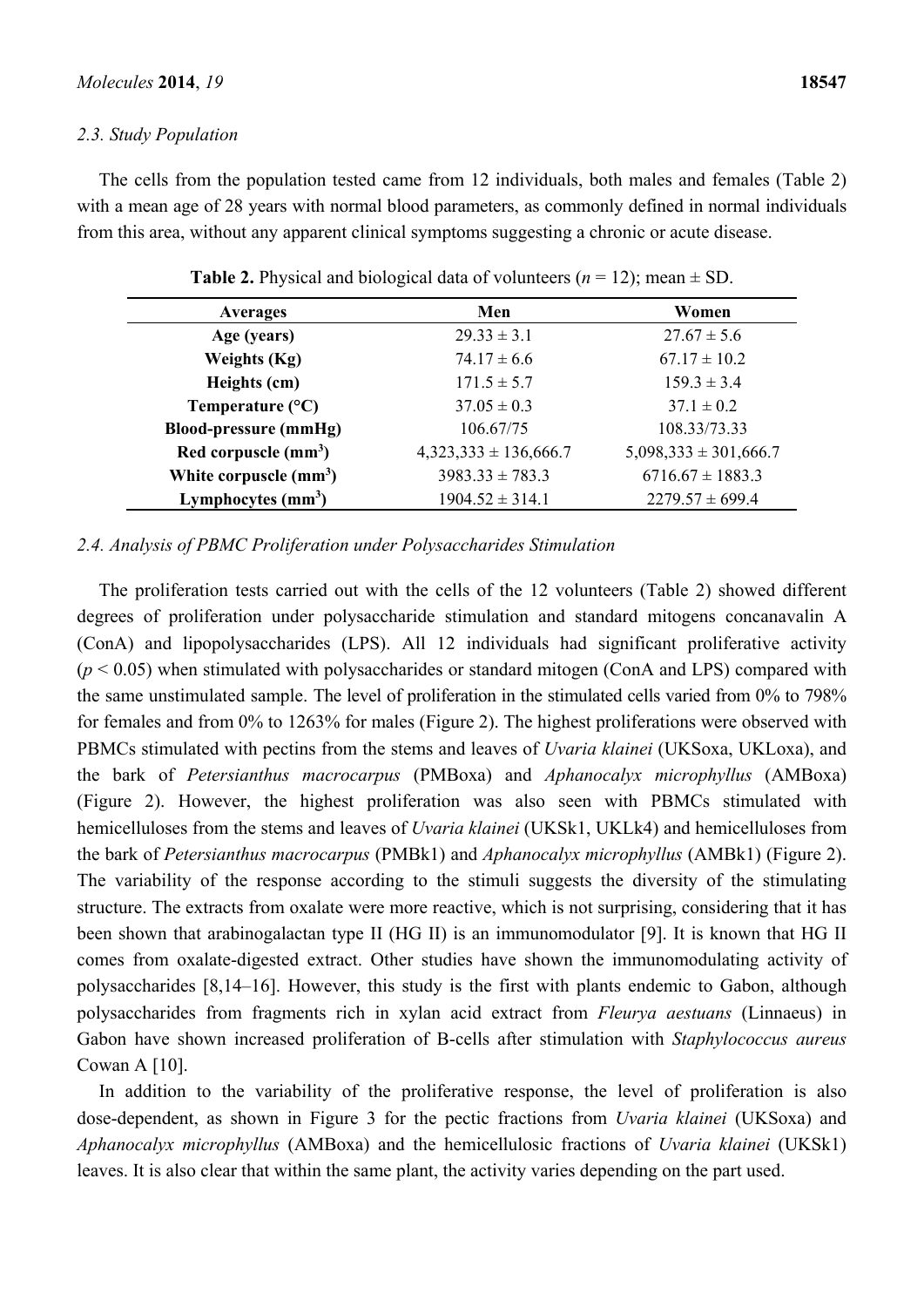## *2.3. Study Population*

The cells from the population tested came from 12 individuals, both males and females (Table 2) with a mean age of 28 years with normal blood parameters, as commonly defined in normal individuals from this area, without any apparent clinical symptoms suggesting a chronic or acute disease.

| <b>Averages</b>              | Men                       | Women                     |  |
|------------------------------|---------------------------|---------------------------|--|
| Age (years)                  | $29.33 \pm 3.1$           | $27.67 \pm 5.6$           |  |
| <b>Weights (Kg)</b>          | $74.17 \pm 6.6$           | $67.17 \pm 10.2$          |  |
| Heights (cm)                 | $171.5 \pm 5.7$           | $159.3 \pm 3.4$           |  |
| Temperature $(^{\circ}C)$    | $37.05 \pm 0.3$           | $37.1 \pm 0.2$            |  |
| <b>Blood-pressure (mmHg)</b> | 106.67/75                 | 108.33/73.33              |  |
| Red corpuscle $(mm3)$        | $4,323,333 \pm 136,666.7$ | $5,098,333 \pm 301,666.7$ |  |
| White corpuscle $(mm3)$      | $3983.33 \pm 783.3$       | $6716.67 \pm 1883.3$      |  |
| Lymphocytes $(mm3)$          | $1904.52 \pm 314.1$       | $2279.57 \pm 699.4$       |  |

**Table 2.** Physical and biological data of volunteers  $(n = 12)$ ; mean  $\pm$  SD.

# *2.4. Analysis of PBMC Proliferation under Polysaccharides Stimulation*

The proliferation tests carried out with the cells of the 12 volunteers (Table 2) showed different degrees of proliferation under polysaccharide stimulation and standard mitogens concanavalin A (ConA) and lipopolysaccharides (LPS). All 12 individuals had significant proliferative activity  $(p < 0.05)$  when stimulated with polysaccharides or standard mitogen (ConA and LPS) compared with the same unstimulated sample. The level of proliferation in the stimulated cells varied from 0% to 798% for females and from 0% to 1263% for males (Figure 2). The highest proliferations were observed with PBMCs stimulated with pectins from the stems and leaves of *Uvaria klainei* (UKSoxa, UKLoxa), and the bark of *Petersianthus macrocarpus* (PMBoxa) and *Aphanocalyx microphyllus* (AMBoxa) (Figure 2). However, the highest proliferation was also seen with PBMCs stimulated with hemicelluloses from the stems and leaves of *Uvaria klainei* (UKSk1, UKLk4) and hemicelluloses from the bark of *Petersianthus macrocarpus* (PMBk1) and *Aphanocalyx microphyllus* (AMBk1) (Figure 2). The variability of the response according to the stimuli suggests the diversity of the stimulating structure. The extracts from oxalate were more reactive, which is not surprising, considering that it has been shown that arabinogalactan type II (HG II) is an immunomodulator [9]. It is known that HG II comes from oxalate-digested extract. Other studies have shown the immunomodulating activity of polysaccharides [8,14–16]. However, this study is the first with plants endemic to Gabon, although polysaccharides from fragments rich in xylan acid extract from *Fleurya aestuans* (Linnaeus) in Gabon have shown increased proliferation of B-cells after stimulation with *Staphylococcus aureus* Cowan A [10].

In addition to the variability of the proliferative response, the level of proliferation is also dose-dependent, as shown in Figure 3 for the pectic fractions from *Uvaria klainei* (UKSoxa) and *Aphanocalyx microphyllus* (AMBoxa) and the hemicellulosic fractions of *Uvaria klainei* (UKSk1) leaves. It is also clear that within the same plant, the activity varies depending on the part used.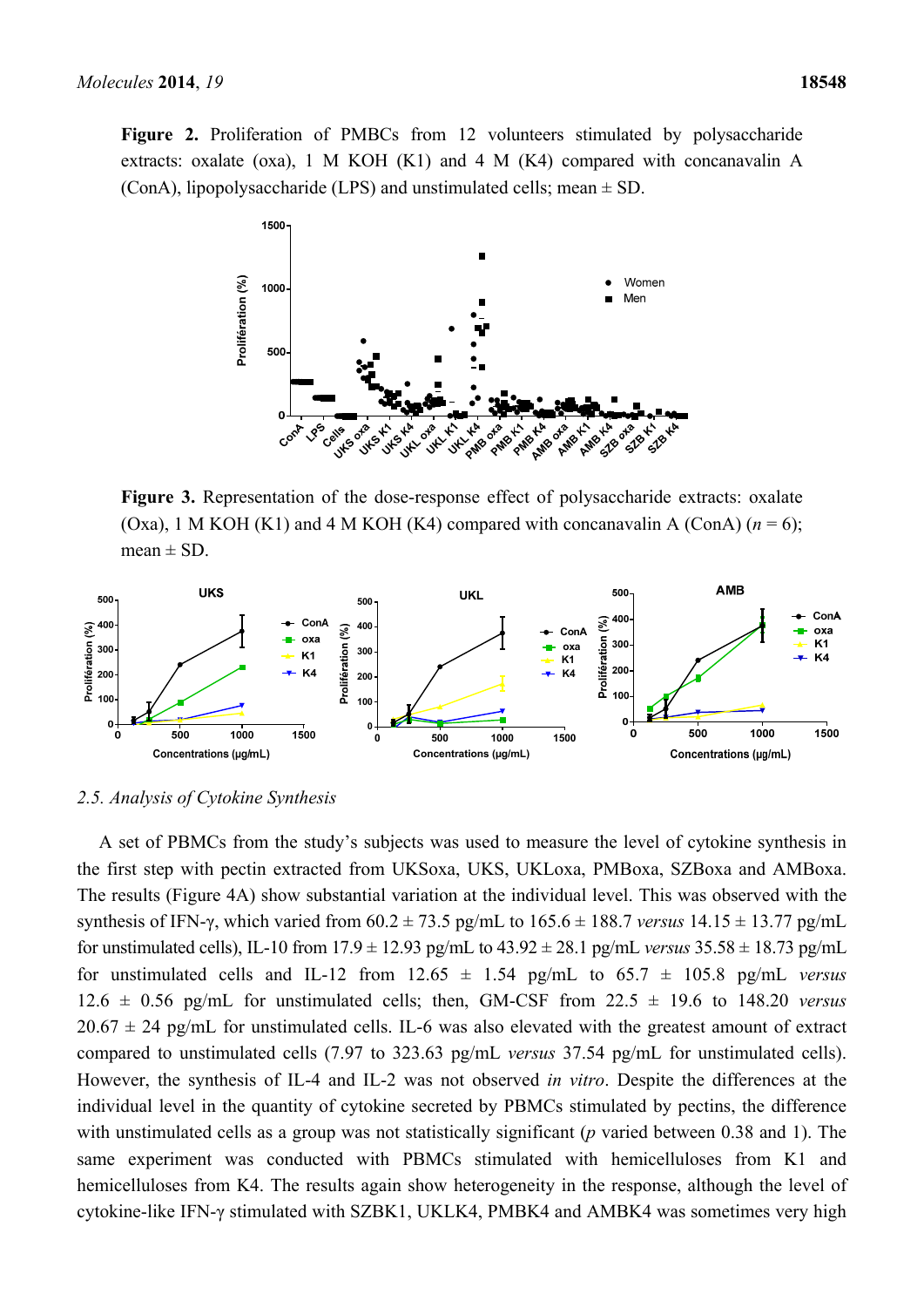Figure 2. Proliferation of PMBCs from 12 volunteers stimulated by polysaccharide extracts: oxalate (oxa), 1 M KOH (K1) and 4 M (K4) compared with concanavalin A (ConA), lipopolysaccharide (LPS) and unstimulated cells; mean ± SD.



**Figure 3.** Representation of the dose-response effect of polysaccharide extracts: oxalate (Oxa), 1 M KOH (K1) and 4 M KOH (K4) compared with concanavalin A (ConA)  $(n = 6)$ ; mean  $\pm$  SD.





A set of PBMCs from the study's subjects was used to measure the level of cytokine synthesis in the first step with pectin extracted from UKSoxa, UKS, UKLoxa, PMBoxa, SZBoxa and AMBoxa. The results (Figure 4A) show substantial variation at the individual level. This was observed with the synthesis of IFN-γ, which varied from 60.2 ± 73.5 pg/mL to 165.6 ± 188.7 *versus* 14.15 ± 13.77 pg/mL for unstimulated cells), IL-10 from  $17.9 \pm 12.93$  pg/mL to  $43.92 \pm 28.1$  pg/mL versus  $35.58 \pm 18.73$  pg/mL for unstimulated cells and IL-12 from  $12.65 \pm 1.54$  pg/mL to  $65.7 \pm 105.8$  pg/mL versus 12.6  $\pm$  0.56 pg/mL for unstimulated cells; then, GM-CSF from 22.5  $\pm$  19.6 to 148.20 *versus*  $20.67 \pm 24$  pg/mL for unstimulated cells. IL-6 was also elevated with the greatest amount of extract compared to unstimulated cells (7.97 to 323.63 pg/mL *versus* 37.54 pg/mL for unstimulated cells). However, the synthesis of IL-4 and IL-2 was not observed *in vitro*. Despite the differences at the individual level in the quantity of cytokine secreted by PBMCs stimulated by pectins, the difference with unstimulated cells as a group was not statistically significant (*p* varied between 0.38 and 1). The same experiment was conducted with PBMCs stimulated with hemicelluloses from K1 and hemicelluloses from K4. The results again show heterogeneity in the response, although the level of cytokine-like IFN-γ stimulated with SZBK1, UKLK4, PMBK4 and AMBK4 was sometimes very high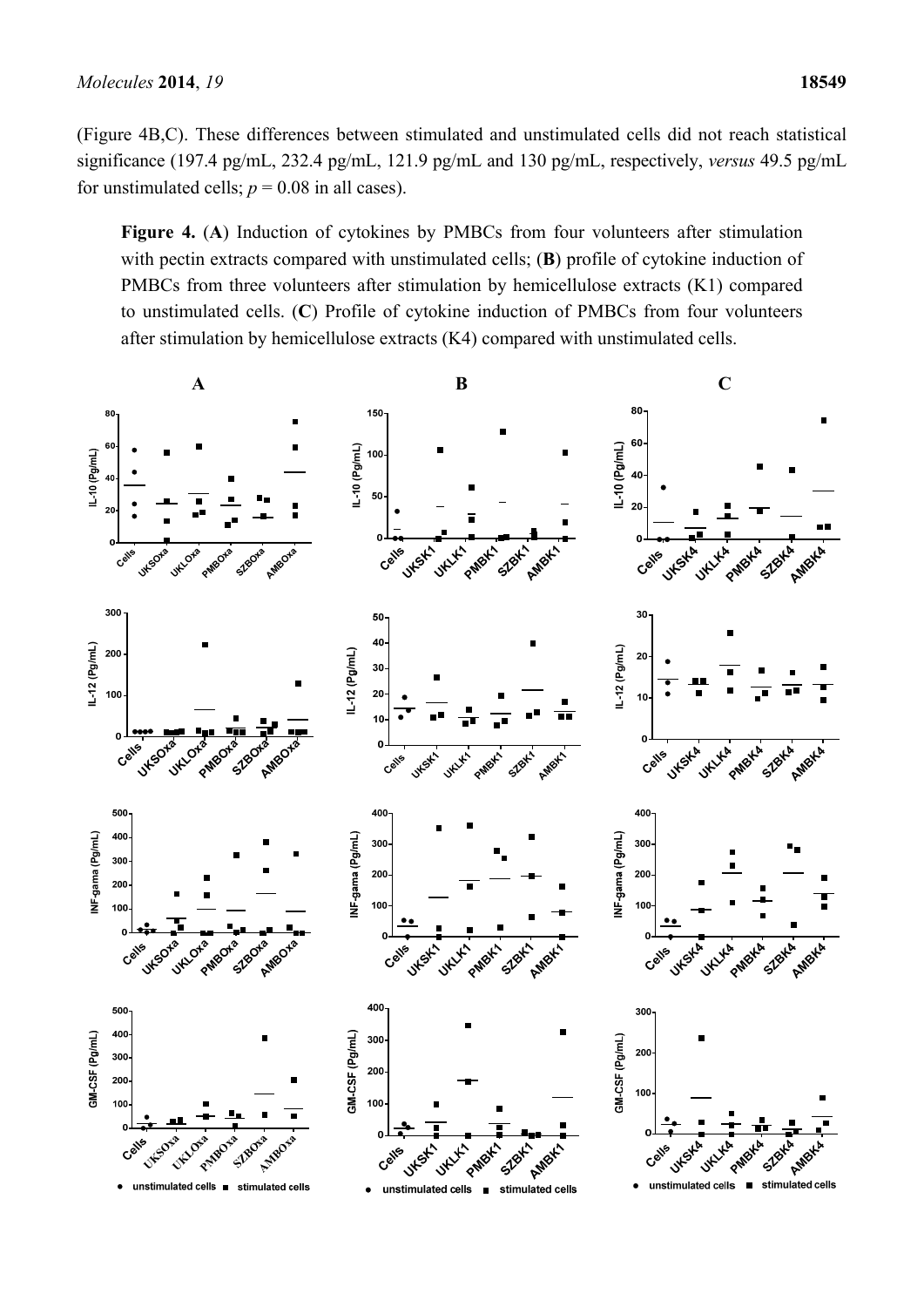(Figure 4B,C). These differences between stimulated and unstimulated cells did not reach statistical significance (197.4 pg/mL, 232.4 pg/mL, 121.9 pg/mL and 130 pg/mL, respectively, *versus* 49.5 pg/mL for unstimulated cells;  $p = 0.08$  in all cases).

**Figure 4.** (**A**) Induction of cytokines by PMBCs from four volunteers after stimulation with pectin extracts compared with unstimulated cells; **(B)** profile of cytokine induction of PMBCs from three volunteers after stimulation by hemicellulose extracts (K1) compared to unstimulated cells. (**C**) Profile of cytokine induction of PMBCs from four volunteers after stimulation by hemicellulose extracts (K4) compared with unstimulated cells.

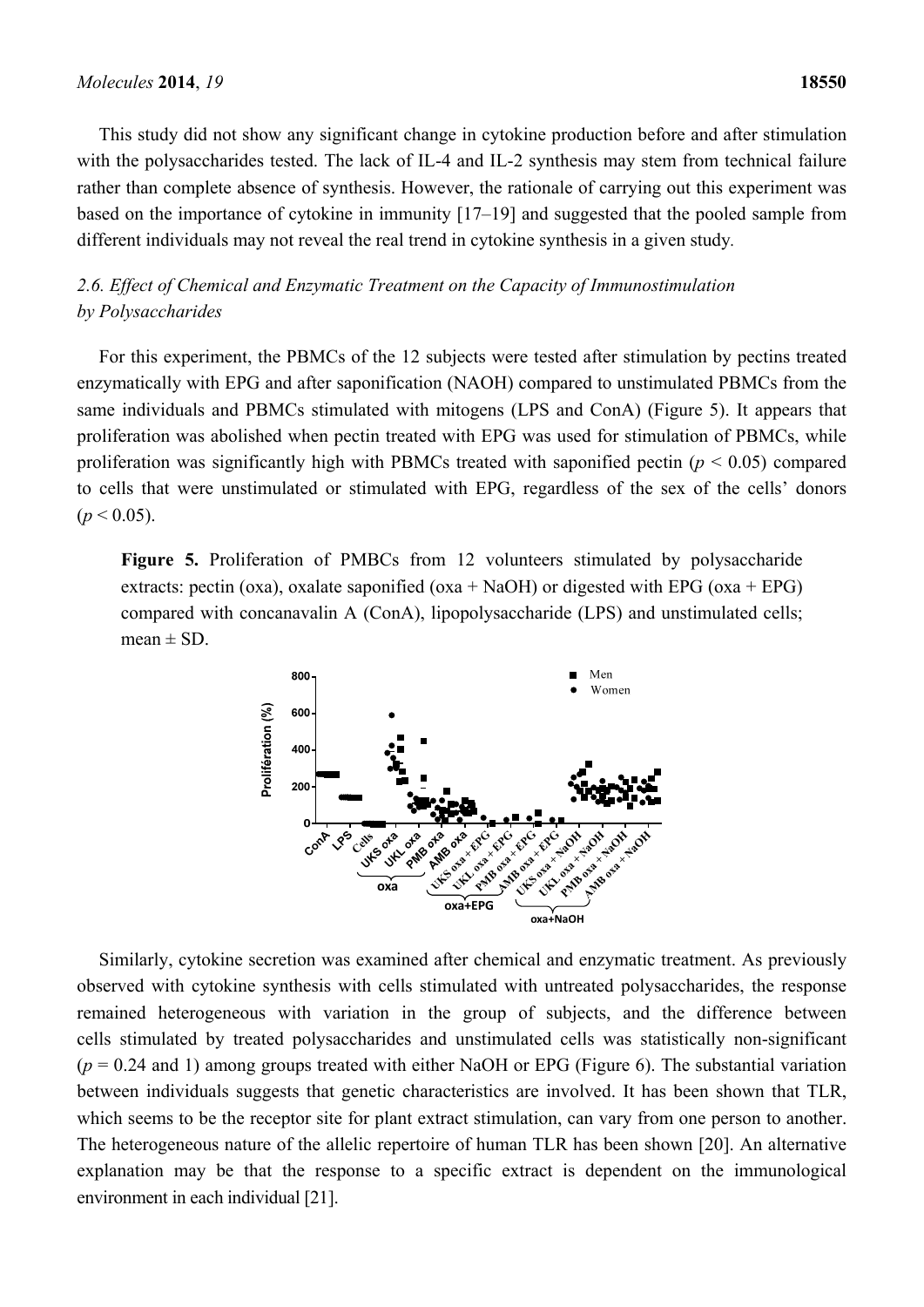This study did not show any significant change in cytokine production before and after stimulation with the polysaccharides tested. The lack of IL-4 and IL-2 synthesis may stem from technical failure rather than complete absence of synthesis. However, the rationale of carrying out this experiment was based on the importance of cytokine in immunity [17–19] and suggested that the pooled sample from different individuals may not reveal the real trend in cytokine synthesis in a given study*.*

# *2.6. Effect of Chemical and Enzymatic Treatment on the Capacity of Immunostimulation by Polysaccharides*

For this experiment, the PBMCs of the 12 subjects were tested after stimulation by pectins treated enzymatically with EPG and after saponification (NAOH) compared to unstimulated PBMCs from the same individuals and PBMCs stimulated with mitogens (LPS and ConA) (Figure 5). It appears that proliferation was abolished when pectin treated with EPG was used for stimulation of PBMCs, while proliferation was significantly high with PBMCs treated with saponified pectin (*p* < 0.05) compared to cells that were unstimulated or stimulated with EPG, regardless of the sex of the cells' donors  $(p < 0.05)$ .

Figure 5. Proliferation of PMBCs from 12 volunteers stimulated by polysaccharide extracts: pectin (oxa), oxalate saponified (oxa + NaOH) or digested with EPG (oxa + EPG) compared with concanavalin A (ConA), lipopolysaccharide (LPS) and unstimulated cells;  $mean \pm SD$ .



Similarly, cytokine secretion was examined after chemical and enzymatic treatment. As previously observed with cytokine synthesis with cells stimulated with untreated polysaccharides, the response remained heterogeneous with variation in the group of subjects, and the difference between cells stimulated by treated polysaccharides and unstimulated cells was statistically non-significant  $(p = 0.24$  and 1) among groups treated with either NaOH or EPG (Figure 6). The substantial variation between individuals suggests that genetic characteristics are involved. It has been shown that TLR, which seems to be the receptor site for plant extract stimulation, can vary from one person to another. The heterogeneous nature of the allelic repertoire of human TLR has been shown [20]. An alternative explanation may be that the response to a specific extract is dependent on the immunological environment in each individual [21].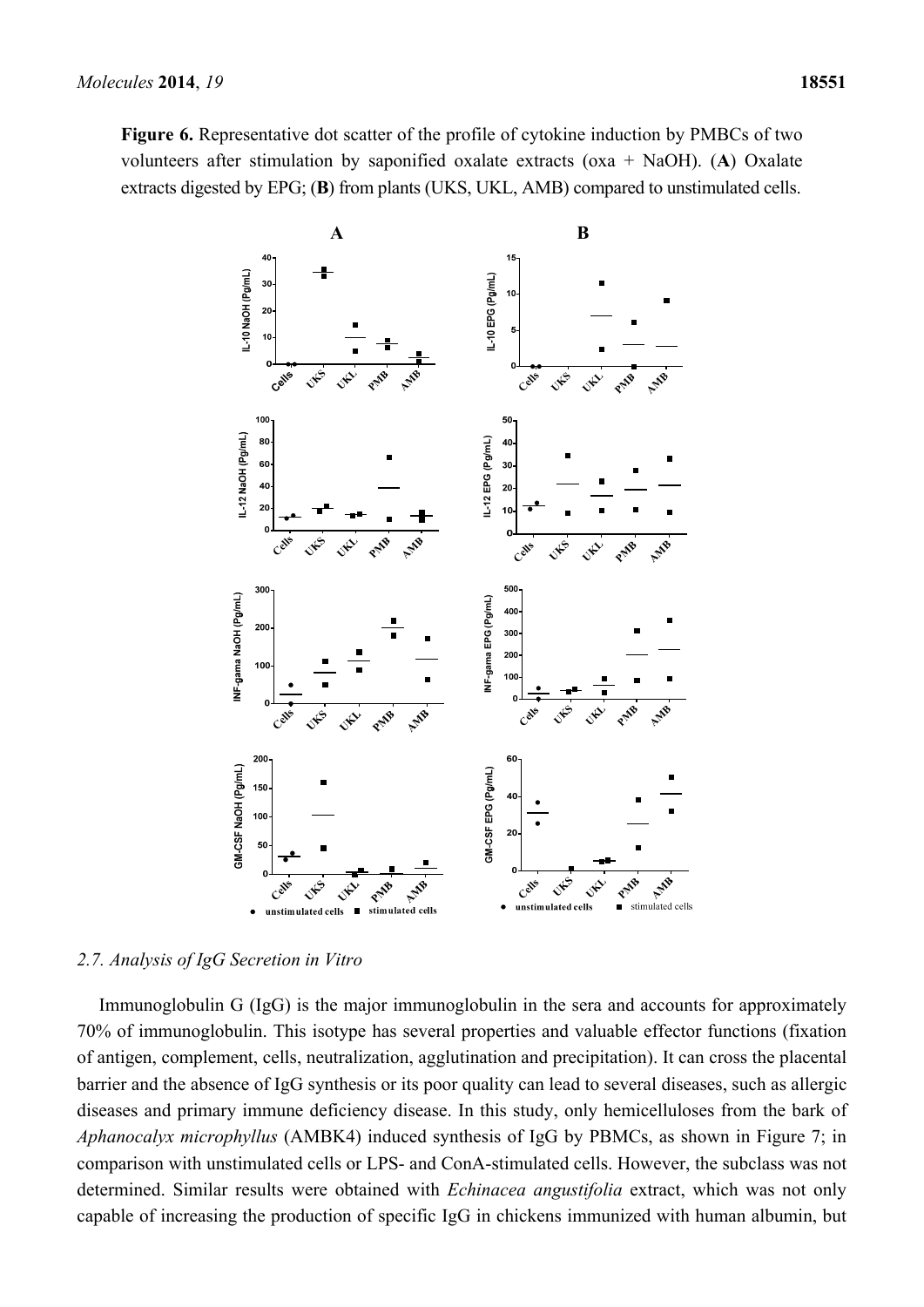**Figure 6.** Representative dot scatter of the profile of cytokine induction by PMBCs of two volunteers after stimulation by saponified oxalate extracts (oxa + NaOH). (**A**) Oxalate extracts digested by EPG; (**B**) from plants (UKS, UKL, AMB) compared to unstimulated cells.



# *2.7. Analysis of IgG Secretion in Vitro*

Immunoglobulin G (IgG) is the major immunoglobulin in the sera and accounts for approximately 70% of immunoglobulin. This isotype has several properties and valuable effector functions (fixation of antigen, complement, cells, neutralization, agglutination and precipitation). It can cross the placental barrier and the absence of IgG synthesis or its poor quality can lead to several diseases, such as allergic diseases and primary immune deficiency disease. In this study, only hemicelluloses from the bark of *Aphanocalyx microphyllus* (AMBK4) induced synthesis of IgG by PBMCs, as shown in Figure 7; in comparison with unstimulated cells or LPS- and ConA-stimulated cells. However, the subclass was not determined. Similar results were obtained with *Echinacea angustifolia* extract, which was not only capable of increasing the production of specific IgG in chickens immunized with human albumin, but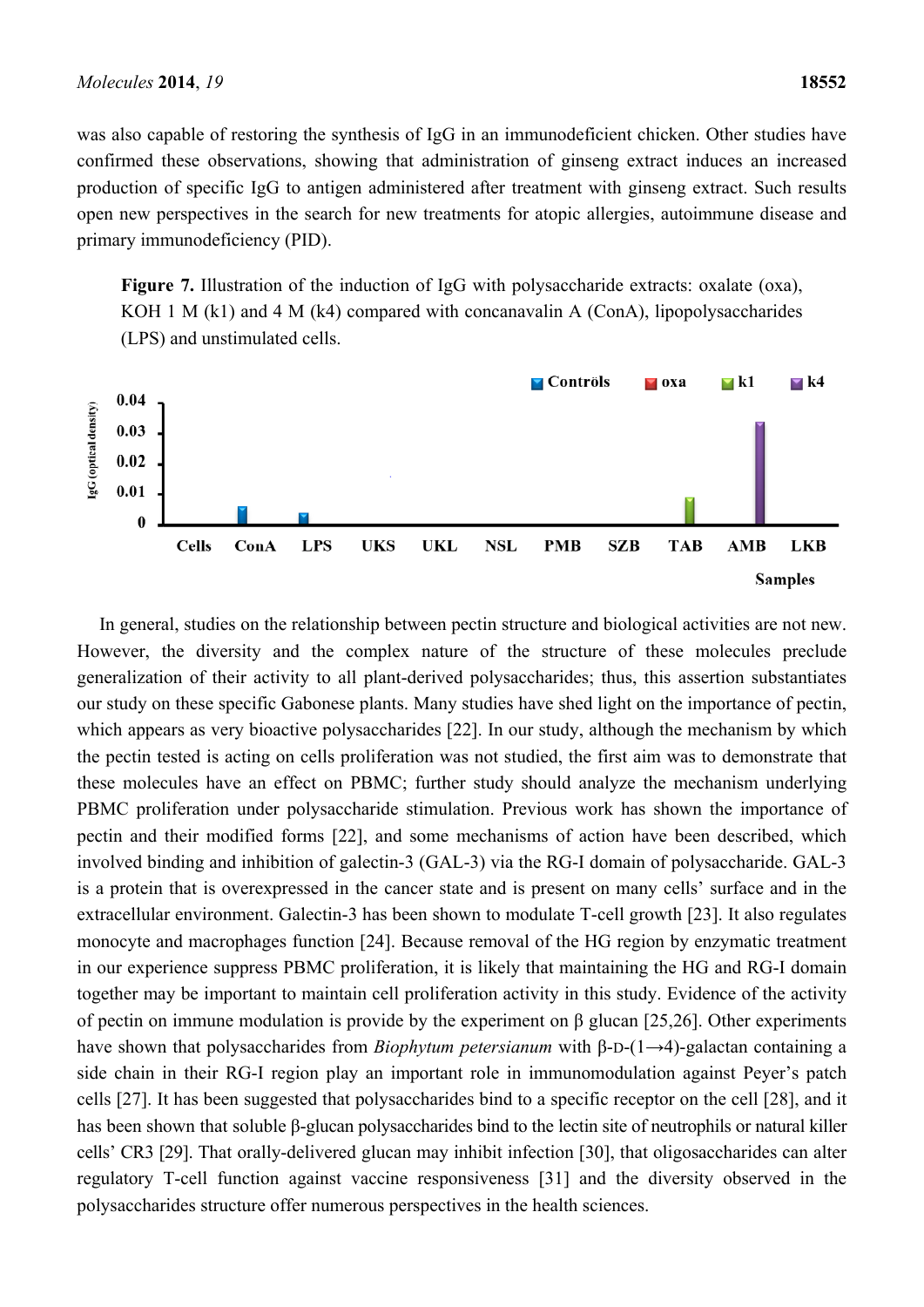was also capable of restoring the synthesis of IgG in an immunodeficient chicken. Other studies have confirmed these observations, showing that administration of ginseng extract induces an increased production of specific IgG to antigen administered after treatment with ginseng extract. Such results open new perspectives in the search for new treatments for atopic allergies, autoimmune disease and primary immunodeficiency (PID).

Figure 7. Illustration of the induction of IgG with polysaccharide extracts: oxalate (oxa), KOH 1 M (k1) and 4 M (k4) compared with concanavalin A (ConA), lipopolysaccharides (LPS) and unstimulated cells.



In general, studies on the relationship between pectin structure and biological activities are not new. However, the diversity and the complex nature of the structure of these molecules preclude generalization of their activity to all plant-derived polysaccharides; thus, this assertion substantiates our study on these specific Gabonese plants. Many studies have shed light on the importance of pectin, which appears as very bioactive polysaccharides [22]. In our study, although the mechanism by which the pectin tested is acting on cells proliferation was not studied, the first aim was to demonstrate that these molecules have an effect on PBMC; further study should analyze the mechanism underlying PBMC proliferation under polysaccharide stimulation. Previous work has shown the importance of pectin and their modified forms [22], and some mechanisms of action have been described, which involved binding and inhibition of galectin-3 (GAL-3) via the RG-I domain of polysaccharide. GAL-3 is a protein that is overexpressed in the cancer state and is present on many cells' surface and in the extracellular environment. Galectin-3 has been shown to modulate T-cell growth [23]. It also regulates monocyte and macrophages function [24]. Because removal of the HG region by enzymatic treatment in our experience suppress PBMC proliferation, it is likely that maintaining the HG and RG-I domain together may be important to maintain cell proliferation activity in this study. Evidence of the activity of pectin on immune modulation is provide by the experiment on β glucan [25,26]. Other experiments have shown that polysaccharides from *Biophytum petersianum* with β-D-(1→4)-galactan containing a side chain in their RG-I region play an important role in immunomodulation against Peyer's patch cells [27]. It has been suggested that polysaccharides bind to a specific receptor on the cell [28], and it has been shown that soluble β-glucan polysaccharides bind to the lectin site of neutrophils or natural killer cells' CR3 [29]. That orally-delivered glucan may inhibit infection [30], that oligosaccharides can alter regulatory T-cell function against vaccine responsiveness [31] and the diversity observed in the polysaccharides structure offer numerous perspectives in the health sciences.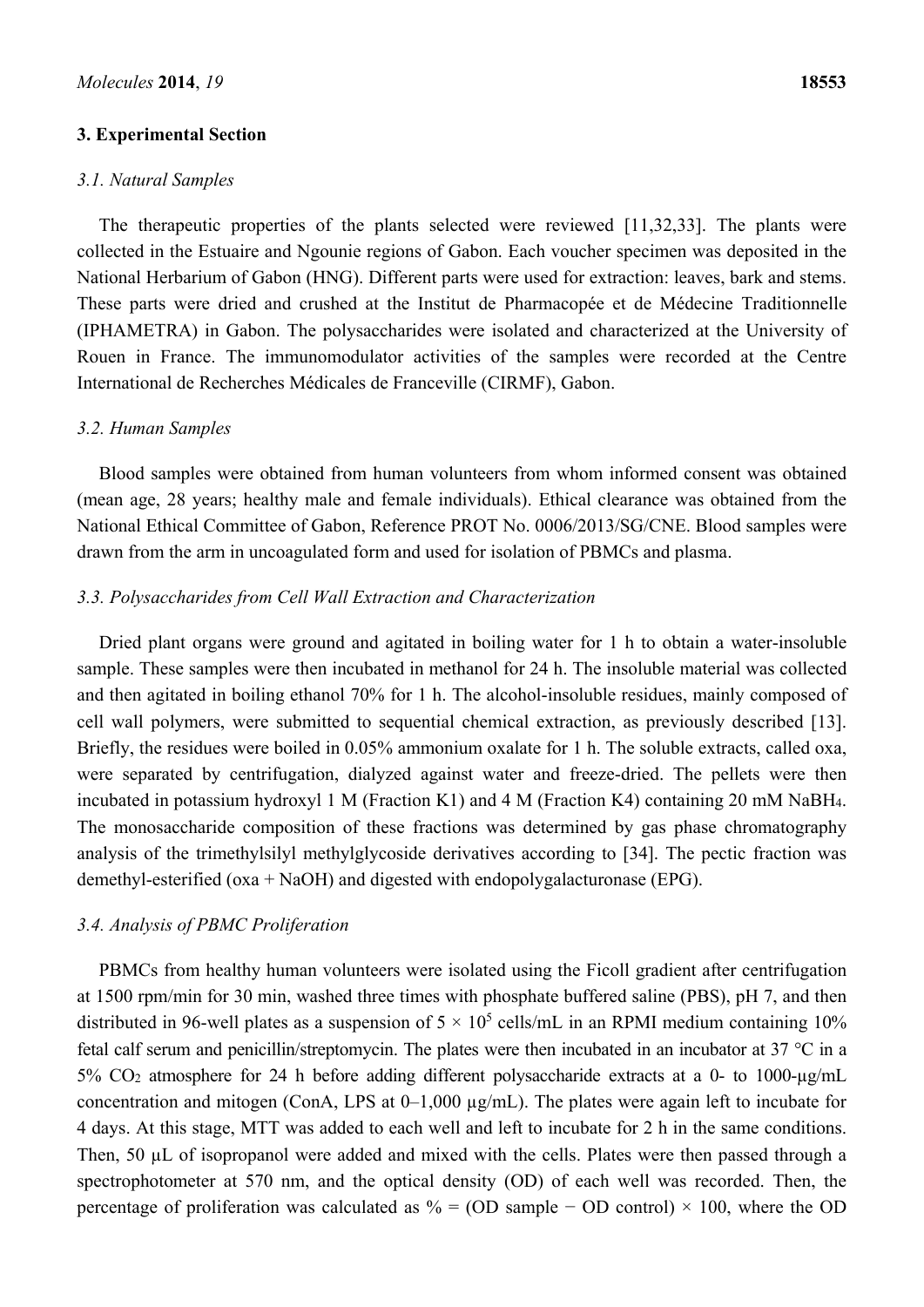#### **3. Experimental Section**

#### *3.1. Natural Samples*

The therapeutic properties of the plants selected were reviewed [11,32,33]. The plants were collected in the Estuaire and Ngounie regions of Gabon. Each voucher specimen was deposited in the National Herbarium of Gabon (HNG). Different parts were used for extraction: leaves, bark and stems. These parts were dried and crushed at the Institut de Pharmacopée et de Médecine Traditionnelle (IPHAMETRA) in Gabon. The polysaccharides were isolated and characterized at the University of Rouen in France. The immunomodulator activities of the samples were recorded at the Centre International de Recherches Médicales de Franceville (CIRMF), Gabon.

#### *3.2. Human Samples*

Blood samples were obtained from human volunteers from whom informed consent was obtained (mean age, 28 years; healthy male and female individuals). Ethical clearance was obtained from the National Ethical Committee of Gabon, Reference PROT No. 0006/2013/SG/CNE. Blood samples were drawn from the arm in uncoagulated form and used for isolation of PBMCs and plasma.

## *3.3. Polysaccharides from Cell Wall Extraction and Characterization*

Dried plant organs were ground and agitated in boiling water for 1 h to obtain a water-insoluble sample. These samples were then incubated in methanol for 24 h. The insoluble material was collected and then agitated in boiling ethanol 70% for 1 h. The alcohol-insoluble residues, mainly composed of cell wall polymers, were submitted to sequential chemical extraction, as previously described [13]. Briefly, the residues were boiled in 0.05% ammonium oxalate for 1 h. The soluble extracts, called oxa, were separated by centrifugation, dialyzed against water and freeze-dried. The pellets were then incubated in potassium hydroxyl 1 M (Fraction K1) and 4 M (Fraction K4) containing 20 mM NaBH4. The monosaccharide composition of these fractions was determined by gas phase chromatography analysis of the trimethylsilyl methylglycoside derivatives according to [34]. The pectic fraction was demethyl-esterified (oxa + NaOH) and digested with endopolygalacturonase (EPG).

# *3.4. Analysis of PBMC Proliferation*

PBMCs from healthy human volunteers were isolated using the Ficoll gradient after centrifugation at 1500 rpm/min for 30 min, washed three times with phosphate buffered saline (PBS), pH 7, and then distributed in 96-well plates as a suspension of  $5 \times 10^5$  cells/mL in an RPMI medium containing 10% fetal calf serum and penicillin/streptomycin. The plates were then incubated in an incubator at 37 °C in a 5% CO2 atmosphere for 24 h before adding different polysaccharide extracts at a 0- to 1000-µg/mL concentration and mitogen (ConA, LPS at 0–1,000 µg/mL). The plates were again left to incubate for 4 days. At this stage, MTT was added to each well and left to incubate for 2 h in the same conditions. Then, 50  $\mu$ L of isopropanol were added and mixed with the cells. Plates were then passed through a spectrophotometer at 570 nm, and the optical density (OD) of each well was recorded. Then, the percentage of proliferation was calculated as % = (OD sample – OD control) × 100, where the OD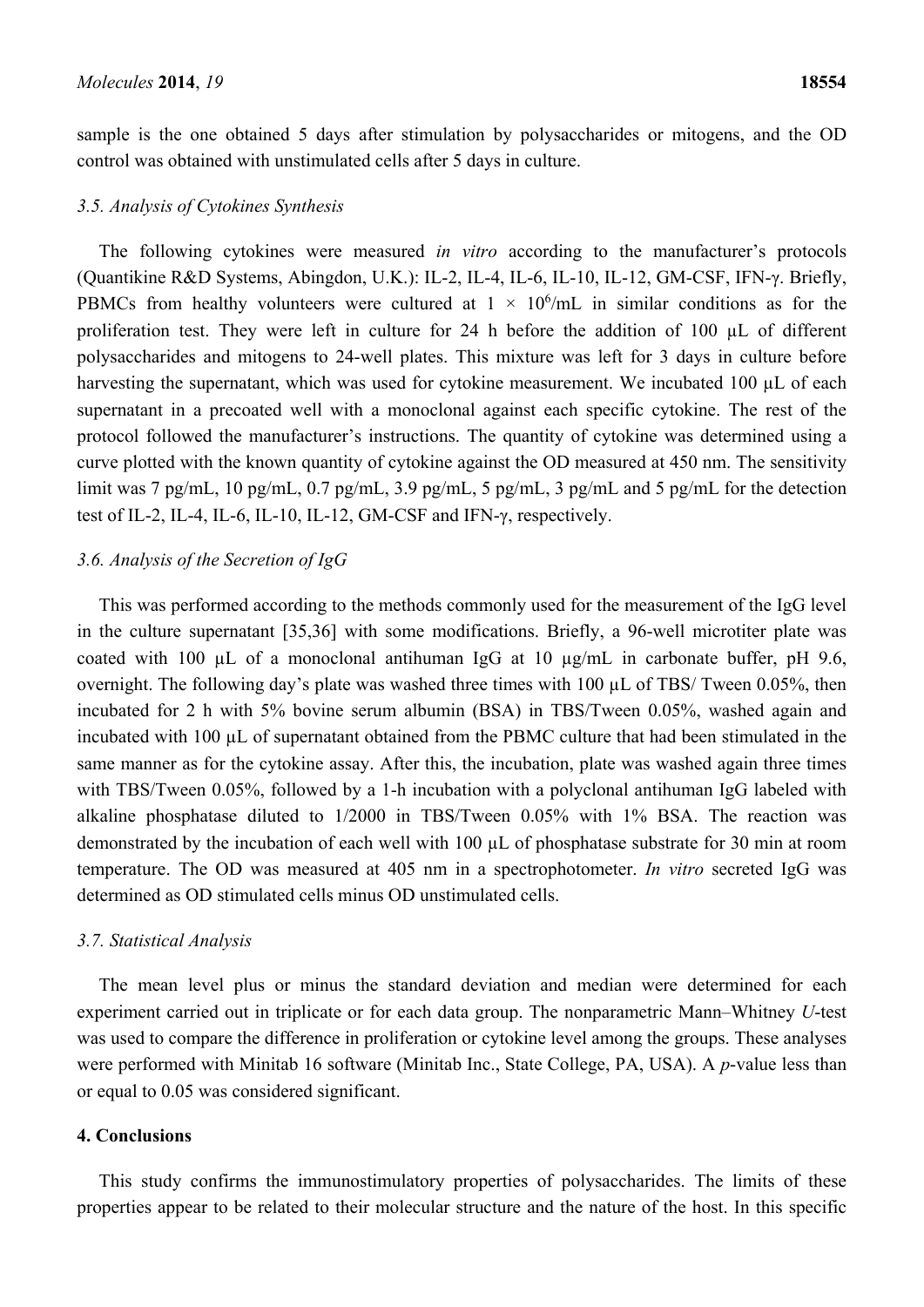sample is the one obtained 5 days after stimulation by polysaccharides or mitogens, and the OD control was obtained with unstimulated cells after 5 days in culture.

#### *3.5. Analysis of Cytokines Synthesis*

The following cytokines were measured *in vitro* according to the manufacturer's protocols (Quantikine R&D Systems, Abingdon, U.K.): IL-2, IL-4, IL-6, IL-10, IL-12, GM-CSF, IFN-γ. Briefly, PBMCs from healthy volunteers were cultured at  $1 \times 10^6$ /mL in similar conditions as for the proliferation test. They were left in culture for 24 h before the addition of 100 µL of different polysaccharides and mitogens to 24-well plates. This mixture was left for 3 days in culture before harvesting the supernatant, which was used for cytokine measurement. We incubated 100 µL of each supernatant in a precoated well with a monoclonal against each specific cytokine. The rest of the protocol followed the manufacturer's instructions. The quantity of cytokine was determined using a curve plotted with the known quantity of cytokine against the OD measured at 450 nm. The sensitivity limit was 7 pg/mL, 10 pg/mL, 0.7 pg/mL, 3.9 pg/mL, 5 pg/mL, 3 pg/mL and 5 pg/mL for the detection test of IL-2, IL-4, IL-6, IL-10, IL-12, GM-CSF and IFN-γ, respectively.

## *3.6. Analysis of the Secretion of IgG*

This was performed according to the methods commonly used for the measurement of the IgG level in the culture supernatant [35,36] with some modifications. Briefly, a 96-well microtiter plate was coated with 100 µL of a monoclonal antihuman IgG at 10 µg/mL in carbonate buffer, pH 9.6, overnight. The following day's plate was washed three times with  $100 \mu L$  of TBS/ Tween 0.05%, then incubated for 2 h with 5% bovine serum albumin (BSA) in TBS/Tween 0.05%, washed again and incubated with 100 µL of supernatant obtained from the PBMC culture that had been stimulated in the same manner as for the cytokine assay. After this, the incubation, plate was washed again three times with TBS/Tween 0.05%, followed by a 1-h incubation with a polyclonal antihuman IgG labeled with alkaline phosphatase diluted to 1/2000 in TBS/Tween 0.05% with 1% BSA. The reaction was demonstrated by the incubation of each well with 100 µL of phosphatase substrate for 30 min at room temperature. The OD was measured at 405 nm in a spectrophotometer. *In vitro* secreted IgG was determined as OD stimulated cells minus OD unstimulated cells.

#### *3.7. Statistical Analysis*

The mean level plus or minus the standard deviation and median were determined for each experiment carried out in triplicate or for each data group. The nonparametric Mann–Whitney *U*-test was used to compare the difference in proliferation or cytokine level among the groups. These analyses were performed with Minitab 16 software (Minitab Inc., State College, PA, USA). A *p*-value less than or equal to 0.05 was considered significant.

# **4. Conclusions**

This study confirms the immunostimulatory properties of polysaccharides. The limits of these properties appear to be related to their molecular structure and the nature of the host. In this specific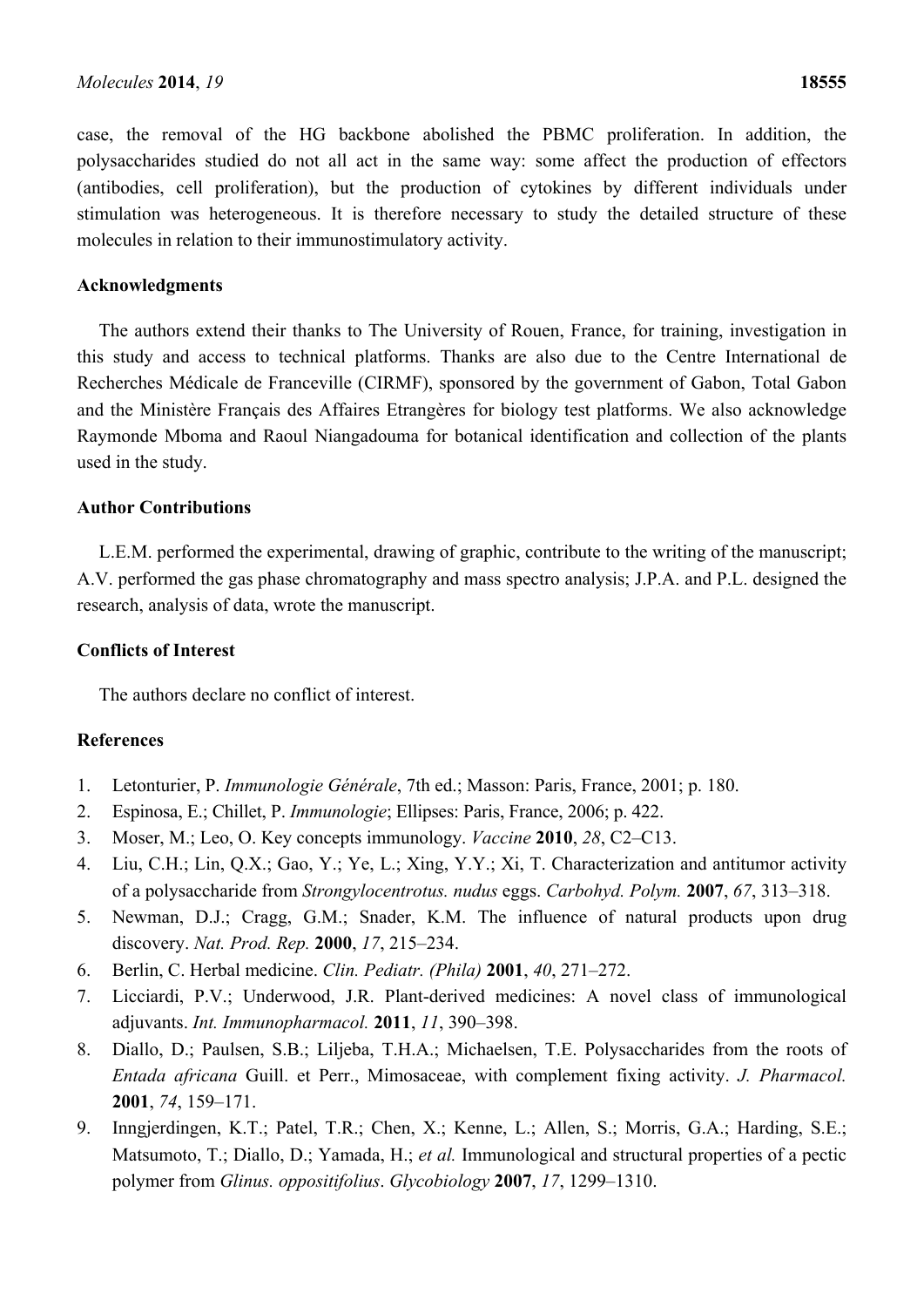case, the removal of the HG backbone abolished the PBMC proliferation. In addition, the polysaccharides studied do not all act in the same way: some affect the production of effectors (antibodies, cell proliferation), but the production of cytokines by different individuals under stimulation was heterogeneous. It is therefore necessary to study the detailed structure of these molecules in relation to their immunostimulatory activity.

#### **Acknowledgments**

The authors extend their thanks to The University of Rouen, France, for training, investigation in this study and access to technical platforms. Thanks are also due to the Centre International de Recherches Médicale de Franceville (CIRMF), sponsored by the government of Gabon, Total Gabon and the Ministère Français des Affaires Etrangères for biology test platforms. We also acknowledge Raymonde Mboma and Raoul Niangadouma for botanical identification and collection of the plants used in the study.

# **Author Contributions**

L.E.M. performed the experimental, drawing of graphic, contribute to the writing of the manuscript; A.V. performed the gas phase chromatography and mass spectro analysis; J.P.A. and P.L. designed the research, analysis of data, wrote the manuscript.

## **Conflicts of Interest**

The authors declare no conflict of interest.

# **References**

- 1. Letonturier, P. *Immunologie Générale*, 7th ed.; Masson: Paris, France, 2001; p. 180.
- 2. Espinosa, E.; Chillet, P. *Immunologie*; Ellipses: Paris, France, 2006; p. 422.
- 3. Moser, M.; Leo, O. Key concepts immunology. *Vaccine* **2010**, *28*, C2–C13.
- 4. Liu, C.H.; Lin, Q.X.; Gao, Y.; Ye, L.; Xing, Y.Y.; Xi, T. Characterization and antitumor activity of a polysaccharide from *Strongylocentrotus. nudus* eggs. *Carbohyd. Polym.* **2007**, *67*, 313–318.
- 5. Newman, D.J.; Cragg, G.M.; Snader, K.M. The influence of natural products upon drug discovery. *Nat. Prod. Rep.* **2000**, *17*, 215–234.
- 6. Berlin, C. Herbal medicine. *Clin. Pediatr. (Phila)* **2001**, *40*, 271–272.
- 7. Licciardi, P.V.; Underwood, J.R. Plant-derived medicines: A novel class of immunological adjuvants. *Int. Immunopharmacol.* **2011**, *11*, 390–398.
- 8. Diallo, D.; Paulsen, S.B.; Liljeba, T.H.A.; Michaelsen, T.E. Polysaccharides from the roots of *Entada africana* Guill. et Perr., Mimosaceae, with complement fixing activity. *J. Pharmacol.*  **2001**, *74*, 159–171.
- 9. Inngjerdingen, K.T.; Patel, T.R.; Chen, X.; Kenne, L.; Allen, S.; Morris, G.A.; Harding, S.E.; Matsumoto, T.; Diallo, D.; Yamada, H.; *et al.* Immunological and structural properties of a pectic polymer from *Glinus. oppositifolius*. *Glycobiology* **2007**, *17*, 1299–1310.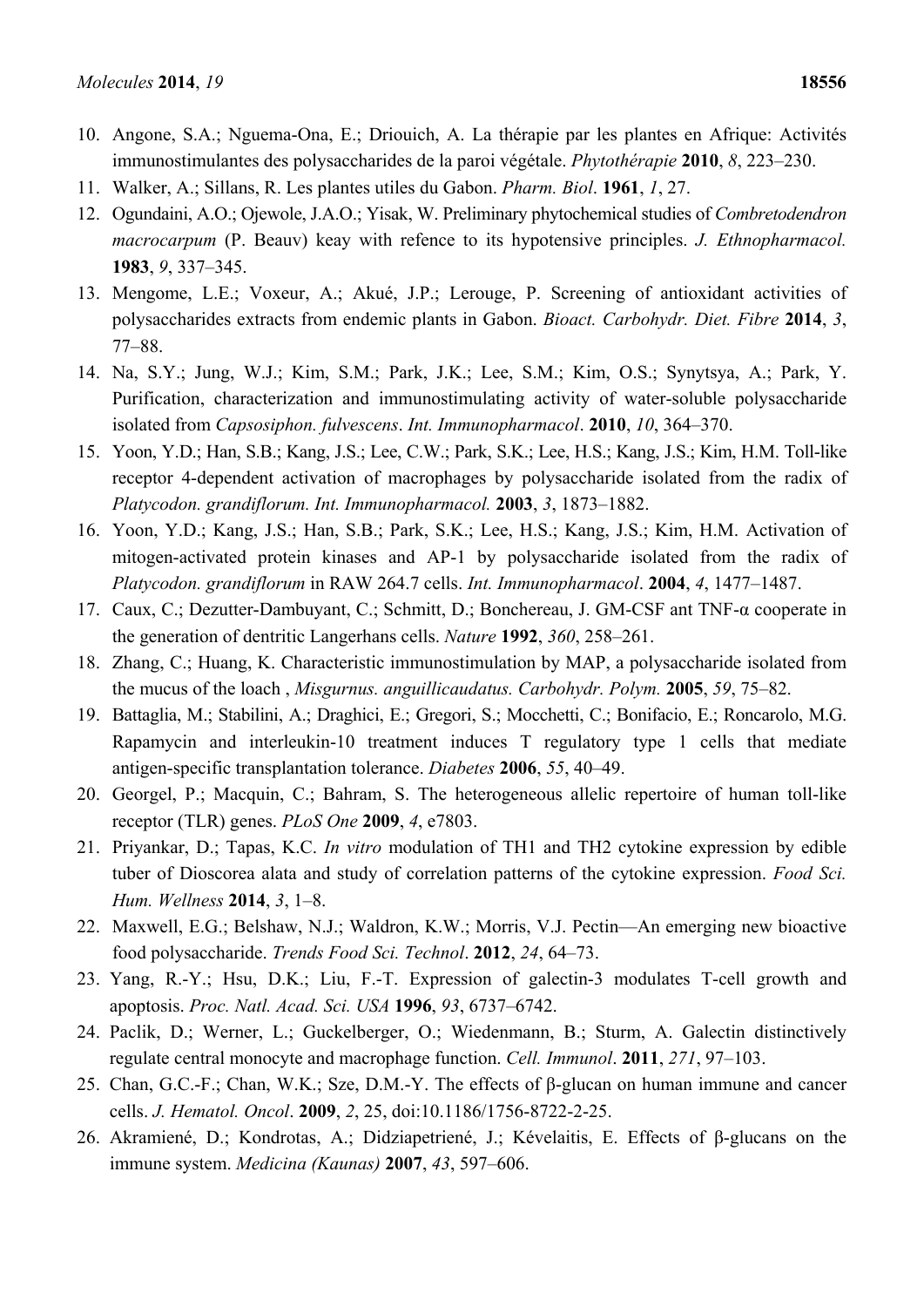- 10. Angone, S.A.; Nguema-Ona, E.; Driouich, A. La thérapie par les plantes en Afrique: Activités immunostimulantes des polysaccharides de la paroi végétale. *Phytothérapie* **2010**, *8*, 223–230.
- 11. Walker, A.; Sillans, R. Les plantes utiles du Gabon. *Pharm. Biol*. **1961**, *1*, 27.
- 12. Ogundaini, A.O.; Ojewole, J.A.O.; Yisak, W. Preliminary phytochemical studies of *Combretodendron macrocarpum* (P. Beauv) keay with refence to its hypotensive principles. *J. Ethnopharmacol.* **1983**, *9*, 337–345.
- 13. Mengome, L.E.; Voxeur, A.; Akué, J.P.; Lerouge, P. Screening of antioxidant activities of polysaccharides extracts from endemic plants in Gabon. *Bioact. Carbohydr. Diet. Fibre* **2014**, *3*, 77–88.
- 14. Na, S.Y.; Jung, W.J.; Kim, S.M.; Park, J.K.; Lee, S.M.; Kim, O.S.; Synytsya, A.; Park, Y. Purification, characterization and immunostimulating activity of water-soluble polysaccharide isolated from *Capsosiphon. fulvescens*. *Int. Immunopharmacol*. **2010**, *10*, 364–370.
- 15. Yoon, Y.D.; Han, S.B.; Kang, J.S.; Lee, C.W.; Park, S.K.; Lee, H.S.; Kang, J.S.; Kim, H.M. Toll-like receptor 4-dependent activation of macrophages by polysaccharide isolated from the radix of *Platycodon. grandiflorum. Int. Immunopharmacol.* **2003**, *3*, 1873–1882.
- 16. Yoon, Y.D.; Kang, J.S.; Han, S.B.; Park, S.K.; Lee, H.S.; Kang, J.S.; Kim, H.M. Activation of mitogen-activated protein kinases and AP-1 by polysaccharide isolated from the radix of *Platycodon. grandiflorum* in RAW 264.7 cells. *Int. Immunopharmacol*. **2004**, *4*, 1477–1487.
- 17. Caux, C.; Dezutter-Dambuyant, C.; Schmitt, D.; Bonchereau, J. GM-CSF ant TNF-α cooperate in the generation of dentritic Langerhans cells. *Nature* **1992**, *360*, 258–261.
- 18. Zhang, C.; Huang, K. Characteristic immunostimulation by MAP, a polysaccharide isolated from the mucus of the loach , *Misgurnus. anguillicaudatus. Carbohydr. Polym.* **2005**, *59*, 75–82.
- 19. Battaglia, M.; Stabilini, A.; Draghici, E.; Gregori, S.; Mocchetti, C.; Bonifacio, E.; Roncarolo, M.G. Rapamycin and interleukin-10 treatment induces T regulatory type 1 cells that mediate antigen-specific transplantation tolerance. *Diabetes* **2006**, *55*, 40–49.
- 20. Georgel, P.; Macquin, C.; Bahram, S. The heterogeneous allelic repertoire of human toll-like receptor (TLR) genes. *PLoS One* **2009**, *4*, e7803.
- 21. Priyankar, D.; Tapas, K.C. *In vitro* modulation of TH1 and TH2 cytokine expression by edible tuber of Dioscorea alata and study of correlation patterns of the cytokine expression. *Food Sci. Hum. Wellness* **2014**, *3*, 1–8.
- 22. Maxwell, E.G.; Belshaw, N.J.; Waldron, K.W.; Morris, V.J. Pectin—An emerging new bioactive food polysaccharide. *Trends Food Sci. Technol*. **2012**, *24*, 64–73.
- 23. Yang, R.-Y.; Hsu, D.K.; Liu, F.-T. Expression of galectin-3 modulates T-cell growth and apoptosis. *Proc. Natl. Acad. Sci. USA* **1996**, *93*, 6737–6742.
- 24. Paclik, D.; Werner, L.; Guckelberger, O.; Wiedenmann, B.; Sturm, A. Galectin distinctively regulate central monocyte and macrophage function. *Cell. Immunol*. **2011**, *271*, 97–103.
- 25. Chan, G.C.-F.; Chan, W.K.; Sze, D.M.-Y. The effects of β-glucan on human immune and cancer cells. *J. Hematol. Oncol*. **2009**, *2*, 25, doi:10.1186/1756-8722-2-25.
- 26. Akramiené, D.; Kondrotas, A.; Didziapetriené, J.; Kévelaitis, E. Effects of β-glucans on the immune system. *Medicina (Kaunas)* **2007**, *43*, 597–606.